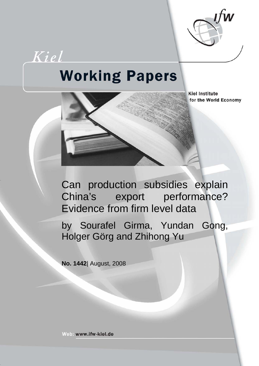

# Kiel **Working Papers**



**Kiel Institute** for the World Economy

Can production subsidies explain China's export performance? Evidence from firm level data

by Sourafel Girma, Yundan Gong, Holger Görg and Zhihong Yu

**No. 1442**| August, 2008

Web: www.ifw-kiel.de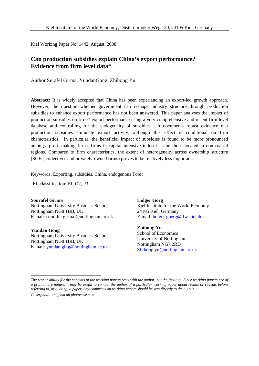Kiel Working Paper No. 1442| August, 2008

# **Can production subsidies explain China's export performance? Evidence from firm level data\***

Author Surafel Girma, YundanGong, Zhihong Yu

**Abstract:** It is widely accepted that China has been experiencing an export-led growth approach. However, the question whether government can reshape industry structure through production subsidies to enhance export performance has not been answered. This paper analyses the impact of production subsidies on firms' export performance using a very comprehensive and recent firm level database and controlling for the endogeneity of subsidies. It documents robust evidence that production subsidies stimulate export activity, although this effect is conditional on firm characteristics. In particular, the beneficial impact of subsidies is found to be more pronounced amongst profit-making firms, firms in capital intensive industries and those located in non-coastal regions. Compared to firm characteristics, the extent of heterogeneity across ownership structure (SOEs, collectives and privately-owned firms) proves to be relatively less important.

Keywords: Exporting, subsidies, China, endogenous Tobit

JEL classification: F1, O2, P3…

**Sourafel Girma**  Nottingham University Business School Nottingham NG8 1BB, UK E-mail: sourafel.girma.@nottingham.ac.uk

**Yundan Gong**  Nottingham University Business School Nottingham NG8 1BB, UK E-mail: [yundan.glng@nottingham.ac.uk](mailto:yundan.glng@nottingham.ac.uk)

\_\_\_\_\_\_\_\_\_\_\_\_\_\_\_\_\_\_\_\_\_\_\_\_\_\_\_\_\_\_\_\_\_\_\_\_

**Holger Görg**  Kiel Institute for the World Economy 24105 Kiel, Germany E-mail: [holger.goerg@ifw-kiel.de](mailto:holger.goerg@ifw-kiel.de)

**Zhihong Yu**  School of Economics University of Nottingham Nottingham NG7 2RD [Zhihong.yu@nottingham.ac.uk](mailto:Zhihong.yu@nottingham.ac.uk)

*The responsibility for the contents of the working papers rests with the author, not the Institute. Since working papers are of a preliminary nature, it may be useful to contact the author of a particular working paper about results or caveats before referring to, or quoting, a paper. Any comments on working papers should be sent directly to the author. Coverphoto: uni\_com on photocase.com*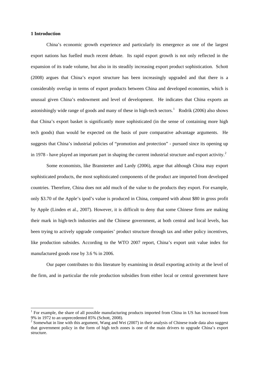#### **1 Introduction**

China's economic growth experience and particularly its emergence as one of the largest export nations has fuelled much recent debate. Its rapid export growth is not only reflected in the expansion of its trade volume, but also in its steadily increasing export product sophistication. Schott (2008) argues that China's export structure has been increasingly upgraded and that there is a considerably overlap in terms of export products between China and developed economies, which is unusual given China's endowment and level of development. He indicates that China exports an astonishingly wide range of goods and many of these in high-tech sectors.<sup>[1](#page-2-0)</sup> Rodrik (2006) also shows that China's export basket is significantly more sophisticated (in the sense of containing more high tech goods) than would be expected on the basis of pure comparative advantage arguments. He suggests that China's industrial policies of "promotion and protection" - pursued since its opening up in 1978 - have played an important part in shaping the current industrial structure and export activity.<sup>[2](#page-2-1)</sup>

Some economists, like Bransteeter and Lardy (2006), argue that although China may export sophisticated products, the most sophisticated components of the product are imported from developed countries. Therefore, China does not add much of the value to the products they export. For example, only \$3.70 of the Apple's ipod's value is produced in China, compared with about \$80 in gross profit by Apple (Linden et al., 2007). However, it is difficult to deny that some Chinese firms are making their mark in high-tech industries and the Chinese government, at both central and local levels, has been trying to actively upgrade companies' product structure through tax and other policy incentives, like production subsides. According to the WTO 2007 report, China's export unit value index for manufactured goods rose by 3.6 % in 2006.

Our paper contributes to this literature by examining in detail exporting activity at the level of the firm, and in particular the role production subsidies from either local or central government have

<span id="page-2-0"></span><sup>&</sup>lt;sup>1</sup> For example, the share of all possible manufacturing products imported from China in US has increased from 9% in 1972 to an unprecedented 85% (Schott, 2008). 2

<span id="page-2-1"></span><sup>&</sup>lt;sup>2</sup> Somewhat in line with this argument, Wang and Wei (2007) in their analysis of Chinese trade data also suggest that government policy in the form of high tech zones is one of the main drivers to upgrade China's export structure.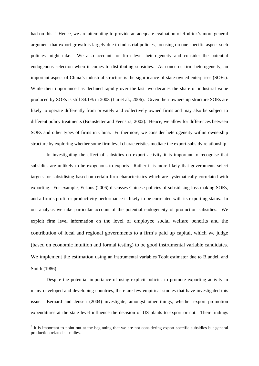had on this.<sup>[3](#page-3-0)</sup> Hence, we are attempting to provide an adequate evaluation of Rodrick's more general argument that export growth is largely due to industrial policies, focusing on one specific aspect such policies might take. We also account for firm level heterogeneity and consider the potential endogenous selection when it comes to distributing subsidies. As concerns firm heterogeneity, an important aspect of China's industrial structure is the significance of state-owned enterprises (SOEs). While their importance has declined rapidly over the last two decades the share of industrial value produced by SOEs is still 34.1% in 2003 (Lui et al., 2006). Given their ownership structure SOEs are likely to operate differently from privately and collectively owned firms and may also be subject to different policy treatments (Branstetter and Feenstra, 2002). Hence, we allow for differences between SOEs and other types of firms in China. Furthermore, we consider heterogeneity within ownership structure by exploring whether some firm level characteristics mediate the export-subsidy relationship.

In investigating the effect of subsidies on export activity it is important to recognise that subsidies are unlikely to be exogenous to exports. Rather it is more likely that governments select targets for subsidising based on certain firm characteristics which are systematically correlated with exporting. For example, Eckaus (2006) discusses Chinese policies of subsidising loss making SOEs, and a firm's profit or productivity performance is likely to be correlated with its exporting status. In our analysis we take particular account of the potential endogeneity of production subsidies. We exploit firm level information on the level of employee social welfare benefits and the contribution of local and regional governments to a firm's paid up capital, which we judge (based on economic intuition and formal testing) to be good instrumental variable candidates. We implement the estimation using an instrumental variables Tobit estimator due to Blundell and Smith (1986).

Despite the potential importance of using explicit policies to promote exporting activity in many developed and developing countries, there are few empirical studies that have investigated this issue. Bernard and Jensen (2004) investigate, amongst other things, whether export promotion expenditures at the state level influence the decision of US plants to export or not. Their findings

1

<span id="page-3-0"></span> $3$  It is important to point out at the beginning that we are not considering export specific subsidies but general production related subsidies.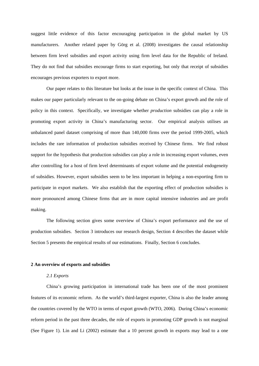suggest little evidence of this factor encouraging participation in the global market by US manufacturers. Another related paper by Görg et al. (2008) investigates the causal relationship between firm level subsidies and export activity using firm level data for the Republic of Ireland. They do not find that subsidies encourage firms to start exporting, but only that receipt of subsidies encourages previous exporters to export more.

Our paper relates to this literature but looks at the issue in the specific context of China. This makes our paper particularly relevant to the on-going debate on China's export growth and the role of policy in this context. Specifically, we investigate whether *production* subsidies can play a role in promoting export activity in China's manufacturing sector. Our empirical analysis utilises an unbalanced panel dataset comprising of more than 140,000 firms over the period 1999-2005, which includes the rare information of production subsidies received by Chinese firms. We find robust support for the hypothesis that production subsidies can play a role in increasing export volumes, even after controlling for a host of firm level determinants of export volume and the potential endogeneity of subsidies. However, export subsidies seem to be less important in helping a non-exporting firm to participate in export markets. We also establish that the exporting effect of production subsidies is more pronounced among Chinese firms that are in more capital intensive industries and are profit making.

The following section gives some overview of China's export performance and the use of production subsidies. Section 3 introduces our research design, Section 4 describes the dataset while Section 5 presents the empirical results of our estimations. Finally, Section 6 concludes.

#### **2 An overview of exports and subsidies**

#### *2.1 Exports*

China's growing participation in international trade has been one of the most prominent features of its economic reform. As the world's third-largest exporter, China is also the leader among the countries covered by the WTO in terms of export growth (WTO, 2006). During China's economic reform period in the past three decades, the role of exports in promoting GDP growth is not marginal (See Figure 1). Lin and Li (2002) estimate that a 10 percent growth in exports may lead to a one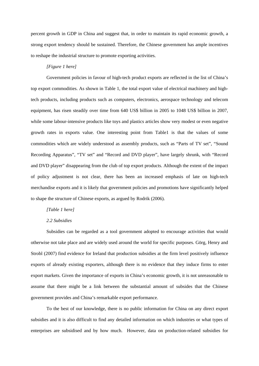percent growth in GDP in China and suggest that, in order to maintain its rapid economic growth, a strong export tendency should be sustained. Therefore, the Chinese government has ample incentives to reshape the industrial structure to promote exporting activities.

#### *[Figure 1 here]*

Government policies in favour of high-tech product exports are reflected in the list of China's top export commodities. As shown in Table 1, the total export value of electrical machinery and hightech products, including products such as computers, electronics, aerospace technology and telecom equipment, has risen steadily over time from 640 US\$ billion in 2005 to 1048 US\$ billion in 2007, while some labour-intensive products like toys and plastics articles show very modest or even negative growth rates in exports value. One interesting point from Table1 is that the values of some commodities which are widely understood as assembly products, such as "Parts of TV set", "Sound Recording Apparatus", "TV set" and "Record and DVD player", have largely shrunk, with "Record and DVD player" disappearing from the club of top export products. Although the extent of the impact of policy adjustment is not clear, there has been an increased emphasis of late on high-tech merchandise exports and it is likely that government policies and promotions have significantly helped to shape the structure of Chinese exports, as argued by Rodrik (2006).

#### *[Table 1 here]*

#### *2.2 Subsidies*

Subsidies can be regarded as a tool government adopted to encourage activities that would otherwise not take place and are widely used around the world for specific purposes. Görg, Henry and Strobl (2007) find evidence for Ireland that production subsidies at the firm level positively influence exports of already existing exporters, although there is no evidence that they induce firms to enter export markets. Given the importance of exports in China's economic growth, it is not unreasonable to assume that there might be a link between the substantial amount of subsides that the Chinese government provides and China's remarkable export performance.

To the best of our knowledge, there is no public information for China on any direct export subsidies and it is also difficult to find any detailed information on which industries or what types of enterprises are subsidised and by how much. However, data on production-related subsidies for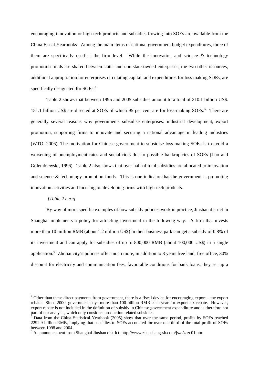encouraging innovation or high-tech products and subsidies flowing into SOEs are available from the China Fiscal Yearbooks. Among the main items of national government budget expenditures, three of them are specifically used at the firm level. While the innovation and science  $\&$  technology promotion funds are shared between state- and non-state owned enterprises, the two other resources, additional appropriation for enterprises circulating capital, and expenditures for loss making SOEs, are specifically designated for SOEs.<sup>[4](#page-6-0)</sup>

Table 2 shows that between 1995 and 2005 subsidies amount to a total of 310.1 billion US\$. 1[5](#page-6-1)1.1 billion US\$ are directed at SOEs of which 95 per cent are for loss-making SOEs.<sup>5</sup> There are generally several reasons why governments subsidise enterprises: industrial development, export promotion, supporting firms to innovate and securing a national advantage in leading industries (WTO, 2006). The motivation for Chinese government to subsidise loss-making SOEs is to avoid a worsening of unemployment rates and social riots due to possible bankruptcies of SOEs (Luo and Golembiewski, 1996). Table 2 also shows that over half of total subsidies are allocated to innovation and science  $\&$  technology promotion funds. This is one indicator that the government is promoting innovation activities and focusing on developing firms with high-tech products.

#### *[Table 2 here]*

1

By way of more specific examples of how subsidy policies work in practice, Jinshan district in Shanghai implements a policy for attracting investment in the following way: A firm that invests more than 10 million RMB (about 1.2 million US\$) in their business park can get a subsidy of 0.8% of its investment and can apply for subsidies of up to 800,000 RMB (about 100,000 US\$) in a single application.<sup>[6](#page-6-2)</sup> Zhuhai city's policies offer much more, in addition to 3 years free land, free office, 30% discount for electricity and communication fees, favourable conditions for bank loans, they set up a

<span id="page-6-0"></span><sup>&</sup>lt;sup>4</sup> Other than these direct payments from government, there is a fiscal device for encouraging export – the export rebate. Since 2000, government pays more than 100 billion RMB each year for export tax rebate. However, export rebate is not included in the definition of subsidy in Chinese government expenditure and is therefore not part of our analysis, which only considers production related subsidies.

<span id="page-6-1"></span><sup>5</sup> Data from the China Statistical Yearbook (2005) show that over the same period, profits by SOEs reached 2292.9 billion RMB, implying that subsidies to SOEs accounted for over one third of the total profit of SOEs between 1998 and 2004.

<span id="page-6-2"></span><sup>&</sup>lt;sup>6</sup> An announcement from Shanghai Jinshan district: http://www.zhaoshang-sh.com/jszs/zszc01.htm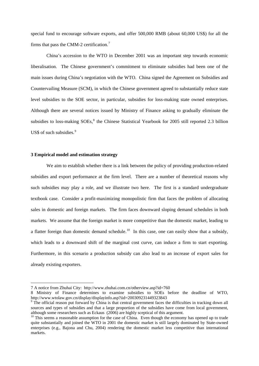special fund to encourage software exports, and offer 500,000 RMB (about 60,000 US\$) for all the firms that pass the CMM-2 certification.<sup>[7](#page-7-0)</sup>

China's accession to the WTO in December 2001 was an important step towards economic liberalisation. The Chinese government's commitment to eliminate subsidies had been one of the main issues during China's negotiation with the WTO. China signed the Agreement on Subsidies and Countervailing Measure (SCM), in which the Chinese government agreed to substantially reduce state level subsidies to the SOE sector, in particular, subsidies for loss-making state owned enterprises. Although there are several notices issued by Ministry of Finance asking to gradually eliminate the subsidies to loss-making SOEs,<sup>[8](#page-7-1)</sup> the Chinese Statistical Yearbook for 2005 still reported 2.3 billion US\$ of such subsidies.<sup>[9](#page-7-2)</sup>

#### **3 Empirical model and estimation strategy**

-

We aim to establish whether there is a link between the policy of providing production-related subsidies and export performance at the firm level. There are a number of theoretical reasons why such subsidies may play a role, and we illustrate two here. The first is a standard undergraduate textbook case. Consider a profit-maximizing monopolistic firm that faces the problem of allocating sales in domestic and foreign markets. The firm faces downward sloping demand schedules in both markets. We assume that the foreign market is more competitive than the domestic market, leading to a flatter foreign than domestic demand schedule.<sup>[10](#page-7-3)</sup> In this case, one can easily show that a subsidy, which leads to a downward shift of the marginal cost curve, can induce a firm to start exporting. Furthermore, in this scenario a production subsidy can also lead to an increase of export sales for already existing exporters.

<span id="page-7-0"></span><sup>7</sup> A notice from Zhuhai City: http://www.zhuhai.com.cn/otherview.asp?id=760

<span id="page-7-1"></span><sup>8</sup> Ministry of Finance determines to examine subsidies to SOEs before the deadline of WTO, http://www.wtolaw.gov.cn/display/displayinfo.asp?iid=200309231449323843 9

<span id="page-7-2"></span><sup>&</sup>lt;sup>9</sup> The official reason put forward by China is that central government faces the difficulties in tracking down all sources and types of subsidies and that a large proportion of the subsidies have come from local government, although some researchers such as Eckaus (2006) are highly sceptical of this argument.

<span id="page-7-3"></span> $10$  This seems a reasonable assumption for the case of China. Even though the economy has opened up to trade quite substantially and joined the WTO in 2001 the domestic market is still largely dominated by State-owned enterprises (e.g., Bajona and Chu, 2004) rendering the domestic market less competitive than international markets.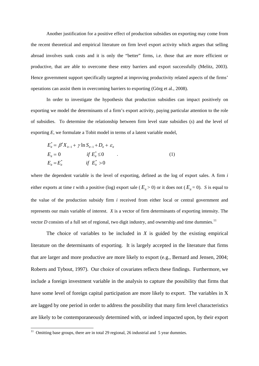Another justification for a positive effect of production subsidies on exporting may come from the recent theoretical and empirical literature on firm level export activity which argues that selling abroad involves sunk costs and it is only the "better" firms, i.e. those that are more efficient or productive, that are able to overcome these entry barriers and export successfully (Melitz, 2003). Hence government support specifically targeted at improving productivity related aspects of the firms' operations can assist them in overcoming barriers to exporting (Görg et al., 2008).

In order to investigate the hypothesis that production subsidies can impact positively on exporting we model the determinants of a firm's export activity, paying particular attention to the role of subsidies. To determine the relationship between firm level state subsidies (*s*) and the level of exporting *E*, we formulate a Tobit model in terms of a latent variable model,

$$
E_{it}^{*} = \beta' X_{it-1} + \gamma \ln S_{it-1} + D_{it} + \varepsilon_{it}
$$
  
\n
$$
E_{it} = 0 \t\t \text{if } E_{it}^{*} \le 0
$$
  
\n
$$
E_{it} = E_{it}^{*} \t\t \text{if } E_{it}^{*} > 0
$$
  
\n(1)

where the dependent variable is the level of exporting, defined as the log of export sales. A firm *i* either exports at time *t* with a positive (log) export sale ( $E_{it} > 0$ ) or it does not ( $E_{it} = 0$ ). *S* is equal to the value of the production subsidy firm *i* received from either local or central government and represents our main variable of interest. *X* is a vector of firm determinants of exporting intensity. The vector *D* consists of a full set of regional, two digit industry, and ownership and time dummies.<sup>[11](#page-8-0)</sup>

The choice of variables to be included in  $X$  is guided by the existing empirical literature on the determinants of exporting. It is largely accepted in the literature that firms that are larger and more productive are more likely to export (e.g., Bernard and Jensen, 2004; Roberts and Tybout, 1997). Our choice of covariates reflects these findings. Furthermore, we include a foreign investment variable in the analysis to capture the possibility that firms that have some level of foreign capital participation are more likely to export. The variables in X are lagged by one period in order to address the possibility that many firm level characteristics are likely to be contemporaneously determined with, or indeed impacted upon, by their export

-

<span id="page-8-0"></span><sup>&</sup>lt;sup>11</sup> Omitting base groups, there are in total 29 regional, 26 industrial and 5 year dummies.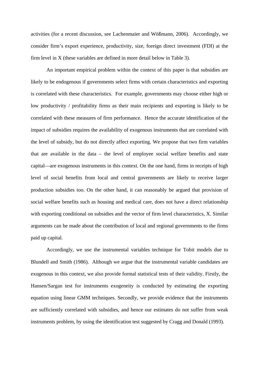activities (for a recent discussion, see Lachenmaier and Wößmann, 2006). Accordingly, we consider firm's export experience, productivity, size, foreign direct investment (FDI) at the firm level in X (these variables are defined in more detail below in Table 3).

An important empirical problem within the context of this paper is that subsidies are likely to be endogenous if governments select firms with certain characteristics and exporting is correlated with these characteristics. For example, governments may choose either high or low productivity / profitability firms as their main recipients and exporting is likely to be correlated with these measures of firm performance. Hence the accurate identification of the impact of subsidies requires the availability of exogenous instruments that are correlated with the level of subsidy, but do not directly affect exporting. We propose that two firm variables that are available in the data – the level of employee social welfare benefits and state capital—are exogenous instruments in this context. On the one hand, firms in receipts of high level of social benefits from local and central governments are likely to receive larger production subsidies too. On the other hand, it can reasonably be argued that provision of social welfare benefits such as housing and medical care, does not have a direct relationship with exporting conditional on subsidies and the vector of firm level characteristics, X. Similar arguments can be made about the contribution of local and regional governments to the firms paid up capital.

Accordingly, we use the instrumental variables technique for Tobit models due to Blundell and Smith (1986). Although we argue that the instrumental variable candidates are exogenous in this context, we also provide formal statistical tests of their validity. Firstly, the Hansen/Sargan test for instruments exogeneity is conducted by estimating the exporting equation using linear GMM techniques. Secondly, we provide evidence that the instruments are sufficiently correlated with subsidies, and hence our estimates do not suffer from weak instruments problem, by using the identification test suggested by Cragg and Donald (1993).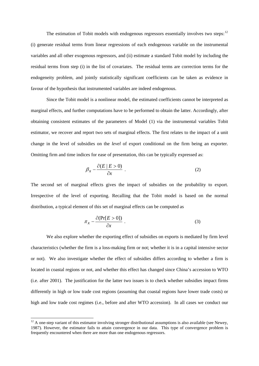The estimation of Tobit models with endogenous regressors essentially involves two steps: $12$ (i) generate residual terms from linear regressions of each endogenous variable on the instrumental variables and all other exogenous regressors, and (ii) estimate a standard Tobit model by including the residual terms from step (i) in the list of covariates. The residual terms are correction terms for the endogeneity problem, and jointly statistically significant coefficients can be taken as evidence in favour of the hypothesis that instrumented variables are indeed endogenous.

Since the Tobit model is a nonlinear model, the estimated coefficients cannot be interpreted as marginal effects, and further computations have to be performed to obtain the latter. Accordingly, after obtaining consistent estimates of the parameters of Model (1) via the instrumental variables Tobit estimator, we recover and report two sets of marginal effects. The first relates to the impact of a unit change in the level of subsidies on the *level* of export conditional on the firm being an exporter. Omitting firm and time indices for ease of presentation, this can be typically expressed as:

$$
\beta_x - \frac{\partial (E \mid E > 0)}{\partial x} \tag{2}
$$

The second set of marginal effects gives the impact of subsidies on the probability to export. Irrespective of the level of exporting. Recalling that the Tobit model is based on the normal distribution, a typical element of this set of marginal effects can be computed as

$$
\pi_x - \frac{\partial (\Pr[E > 0])}{\partial x} \tag{3}
$$

We also explore whether the exporting effect of subsidies on exports is mediated by firm level characteristics (whether the firm is a loss-making firm or not; whether it is in a capital intensive sector or not). We also investigate whether the effect of subsidies differs according to whether a firm is located in coastal regions or not, and whether this effect has changed since China's accession to WTO (i.e. after 2001). The justification for the latter two issues is to check whether subsidies impact firms differently in high or low trade cost regions (assuming that coastal regions have lower trade costs) or high and low trade cost regimes (i.e., before and after WTO accession). In all cases we conduct our

1

<span id="page-10-0"></span> $12$  A one-step variant of this estimator involving stronger distributional assumptions is also available (see Newey, 1987). However, the estimator fails to attain convergence in our data. This type of convergence problem is frequently encountered when there are more than one endogenous regressors.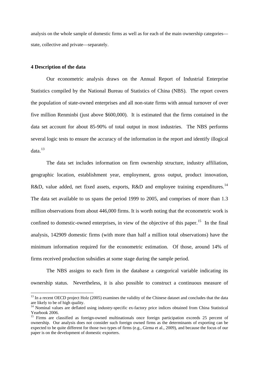analysis on the whole sample of domestic firms as well as for each of the main ownership categories state, collective and private—separately.

#### **4 Description of the data**

1

Our econometric analysis draws on the Annual Report of Industrial Enterprise Statistics compiled by the National Bureau of Statistics of China (NBS). The report covers the population of state-owned enterprises and all non-state firms with annual turnover of over five million Renminbi (just above \$600,000). It is estimated that the firms contained in the data set account for about 85-90% of total output in most industries. The NBS performs several logic tests to ensure the accuracy of the information in the report and identify illogical  $data.<sup>13</sup>$  $data.<sup>13</sup>$  $data.<sup>13</sup>$ 

The data set includes information on firm ownership structure, industry affiliation, geographic location, establishment year, employment, gross output, product innovation, R&D, value added, net fixed assets, exports, R&D and employee training expenditures.<sup>[14](#page-11-1)</sup> The data set available to us spans the period 1999 to 2005, and comprises of more than 1.3 million observations from about 446,000 firms. It is worth noting that the econometric work is confined to domestic-owned enterprises, in view of the objective of this paper.<sup>[15](#page-11-2)</sup> In the final analysis, 142909 domestic firms (with more than half a million total observations) have the minimum information required for the econometric estimation. Of those, around 14% of firms received production subsidies at some stage during the sample period.

The NBS assigns to each firm in the database a categorical variable indicating its ownership status. Nevertheless, it is also possible to construct a continuous measure of

<span id="page-11-0"></span><sup>&</sup>lt;sup>13</sup> In a recent OECD project Holz (2005) examines the validity of the Chinese dataset and concludes that the data are likely to be of high quality.

<span id="page-11-1"></span><sup>&</sup>lt;sup>14</sup> Nominal values are deflated using industry-specific ex-factory price indices obtained from China Statistical Yearbook 2006.

<span id="page-11-2"></span><sup>&</sup>lt;sup>15</sup> Firms are classified as foreign-owned multinationals once foreign participation exceeds 25 percent of ownership. Our analysis does not consider such foreign owned firms as the determinants of exporting can be expected to be quite different for those two types of firms (e.g., Girma et al., 2009), and because the focus of our paper is on the development of domestic exporters.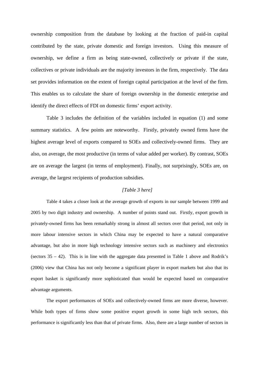ownership composition from the database by looking at the fraction of paid-in capital contributed by the state, private domestic and foreign investors. Using this measure of ownership, we define a firm as being state-owned, collectively or private if the state, collectives or private individuals are the majority investors in the firm, respectively. The data set provides information on the extent of foreign capital participation at the level of the firm. This enables us to calculate the share of foreign ownership in the domestic enterprise and identify the direct effects of FDI on domestic firms' export activity.

Table 3 includes the definition of the variables included in equation (1) and some summary statistics. A few points are noteworthy. Firstly, privately owned firms have the highest average level of exports compared to SOEs and collectively-owned firms. They are also, on average, the most productive (in terms of value added per worker). By contrast, SOEs are on average the largest (in terms of employment). Finally, not surprisingly, SOEs are, on average, the largest recipients of production subsidies.

### *[Table 3 here]*

Table 4 takes a closer look at the average growth of exports in our sample between 1999 and 2005 by two digit industry and ownership. A number of points stand out. Firstly, export growth in privately-owned firms has been remarkably strong in almost all sectors over that period, not only in more labour intensive sectors in which China may be expected to have a natural comparative advantage, but also in more high technology intensive sectors such as machinery and electronics (sectors  $35 - 42$ ). This is in line with the aggregate data presented in Table 1 above and Rodrik's (2006) view that China has not only become a significant player in export markets but also that its export basket is significantly more sophisticated than would be expected based on comparative advantage arguments.

The export performances of SOEs and collectively-owned firms are more diverse, however. While both types of firms show some positive export growth in some high tech sectors, this performance is significantly less than that of private firms. Also, there are a large number of sectors in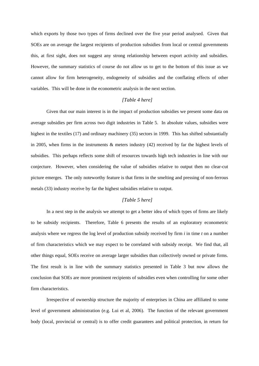which exports by those two types of firms declined over the five year period analysed. Given that SOEs are on average the largest recipients of production subsidies from local or central governments this, at first sight, does not suggest any strong relationship between export activity and subsidies. However, the summary statistics of course do not allow us to get to the bottom of this issue as we cannot allow for firm heterogeneity, endogeneity of subsidies and the conflating effects of other variables. This will be done in the econometric analysis in the next section.

#### *[Table 4 here]*

Given that our main interest is in the impact of production subsidies we present some data on average subsidies per firm across two digit industries in Table 5. In absolute values, subsidies were highest in the textiles (17) and ordinary machinery (35) sectors in 1999. This has shifted substantially in 2005, when firms in the instruments & meters industry (42) received by far the highest levels of subsidies. This perhaps reflects some shift of resources towards high tech industries in line with our conjecture. However, when considering the value of subsidies relative to output then no clear-cut picture emerges. The only noteworthy feature is that firms in the smelting and pressing of non-ferrous metals (33) industry receive by far the highest subsidies relative to output.

#### *[Table 5 here]*

In a next step in the analysis we attempt to get a better idea of which types of firms are likely to be subsidy recipients. Therefore, Table 6 presents the results of an exploratory econometric analysis where we regress the log level of production subsidy received by firm *i* in time *t* on a number of firm characteristics which we may expect to be correlated with subsidy receipt. We find that, all other things equal, SOEs receive on average larger subsidies than collectively owned or private firms. The first result is in line with the summary statistics presented in Table 3 but now allows the conclusion that SOEs are more prominent recipients of subsidies even when controlling for some other firm characteristics.

Irrespective of ownership structure the majority of enterprises in China are affiliated to some level of government administration (e.g. Lui et al, 2006). The function of the relevant government body (local, provincial or central) is to offer credit guarantees and political protection, in return for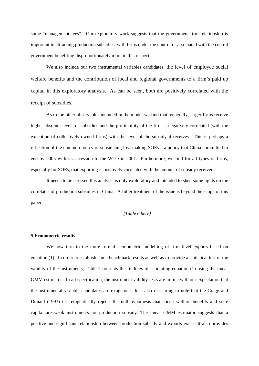some "management fees". Our exploratory work suggests that the government-firm relationship is important in attracting production subsidies, with firms under the control or associated with the central government benefiting disproportionately more in this respect.

We also include our two instrumental variables candidates, the level of employee social welfare benefits and the contribution of local and regional governments to a firm's paid up capital in this exploratory analysis. As can be seen, both are positively correlated with the receipt of subsidies.

As to the other observables included in the model we find that, generally, larger firms receive higher absolute levels of subsidies and the profitability of the firm is negatively correlated (with the exception of collectively-owned firms) with the level of the subsidy it receives. This is perhaps a reflection of the common policy of subsidising loss-making SOEs – a policy that China committed to end by 2005 with its accession to the WTO in 2001. Furthermore, we find for all types of firms, especially for SOEs, that exporting is positively correlated with the amount of subsidy received.

It needs to be stressed this analysis is only exploratory and intended to shed some lights on the correlates of production subsidies in China. A fuller treatment of the issue is beyond the scope of this paper.

#### *[Table 6 here]*

#### **5 Econometric results**

We now turn to the more formal econometric modelling of firm level exports based on equation (1). In order to establish some benchmark results as well as to provide a statistical test of the validity of the instruments, Table 7 presents the findings of estimating equation (1) using the linear GMM estimator. In all specification, the instrument validity tests are in line with our expectation that the instrumental variable candidates are exogenous. It is also reassuring to note that the Cragg and Donald (1993) test emphatically rejects the null hypothesis that social welfare benefits and state capital are weak instruments for production subsidy. The linear GMM estimator suggests that a positive and significant relationship between production subsidy and exports exists. It also provides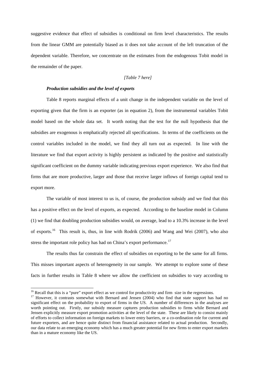suggestive evidence that effect of subsidies is conditional on firm level characteristics. The results from the linear GMM are potentially biased as it does not take account of the left truncation of the dependent variable. Therefore, we concentrate on the estimates from the endogenous Tobit model in the remainder of the paper.

#### *[Table 7 here]*

#### *Production subsidies and the level of exports*

Table 8 reports marginal effects of a unit change in the independent variable on the level of exporting given that the firm is an exporter (as in equation 2), from the instrumental variables Tobit model based on the whole data set. It worth noting that the test for the null hypothesis that the subsidies are exogenous is emphatically rejected all specifications. In terms of the coefficients on the control variables included in the model, we find they all turn out as expected. In line with the literature we find that export activity is highly persistent as indicated by the positive and statistically significant coefficient on the dummy variable indicating previous export experience. We also find that firms that are more productive, larger and those that receive larger inflows of foreign capital tend to export more.

The variable of most interest to us is, of course, the production subsidy and we find that this has a positive effect on the level of exports, as expected. According to the baseline model in Column (1) we find that doubling production subsidies would, on average, lead to a 10.3% increase in the level of exports.[16](#page-15-0) This result is, thus, in line with Rodrik (2006) and Wang and Wei (2007), who also stress the important role policy has had on China's export performance.<sup>[17](#page-15-1)</sup>

The results thus far constrain the effect of subsidies on exporting to be the same for all firms. This misses important aspects of heterogeneity in our sample. We attempt to explore some of these facts in further results in Table 8 where we allow the coefficient on subsidies to vary according to

1

<span id="page-15-1"></span><span id="page-15-0"></span><sup>&</sup>lt;sup>16</sup> Recall that this is a "pure" export effect as we control for productivity and firm size in the regressions.<br><sup>17</sup> However, it contrasts somewhat with Bernard and Jensen (2004) who find that state support has had no significant effect on the probability to export of firms in the US. A number of differences in the analyses are worth pointing out. Firstly, our subsidy measure captures production subsidies to firms while Bernard and Jensen explicitly measure export promotion activities at the level of the state. These are likely to consist mainly of efforts to collect information on foreign markets to lower entry barriers, or a co-ordination role for current and future exporters, and are hence quite distinct from financial assistance related to actual production. Secondly, our data relate to an emerging economy which has a much greater potential for new firms to enter export markets than in a mature economy like the US.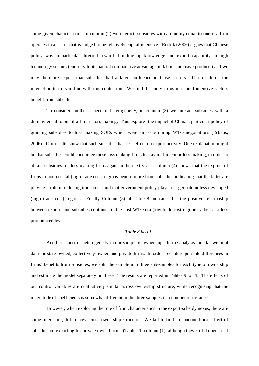some given characteristic. In column (2) we interact subsidies with a dummy equal to one if a firm operates in a sector that is judged to be relatively capital intensive. Rodrik (2006) argues that Chinese policy was in particular directed towards building up knowledge and export capability in high technology sectors (contrary to its natural comparative advantage in labour intensive products) and we may therefore expect that subsidies had a larger influence in those sectors. Our result on the interaction term is in line with this contention. We find that only firms in capital-intensive sectors benefit from subsidies.

To consider another aspect of heterogeneity, in column (3) we interact subsidies with a dummy equal to one if a firm is loss making. This explores the impact of China's particular policy of granting subsidies to loss making SOEs which were an issue during WTO negotiations (Eckaus, 2006). Our results show that such subsidies had less effect on export activity. One explanation might be that subsidies could encourage these loss making firms to stay inefficient or loss making, in order to obtain subsidies for loss making firms again in the next year. Column (4) shows that the exports of firms in non-coastal (high trade cost) regions benefit more from subsidies indicating that the latter are playing a role in reducing trade costs and that government policy plays a larger role in less-developed (high trade cost) regions. Finally Column (5) of Table 8 indicates that the positive relationship between exports and subsidies continues in the post-WTO era (low trade cost regime), albeit at a less pronounced level.

#### *[Table 8 here]*

Another aspect of heterogeneity in our sample is ownership. In the analysis thus far we pool data for state-owned, collectively-owned and private firms. In order to capture possible differences in firms' benefits from subsidies, we split the sample into three sub-samples for each type of ownership and estimate the model separately on these. The results are reported in Tables 9 to 11. The effects of our control variables are qualitatively similar across ownership structure, while recognising that the magnitude of coefficients is somewhat different in the three samples in a number of instances.

However, when exploring the role of firm characteristics in the export-subsidy nexus, there are some interesting differences across ownership structure: We fail to find an unconditional effect of subsidies on exporting for private owned firms (Table 11, column (1), although they still do benefit if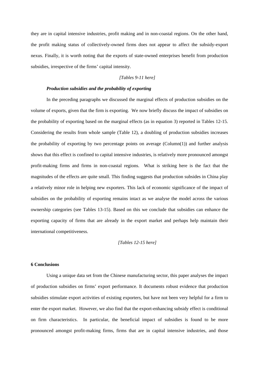they are in capital intensive industries, profit making and in non-coastal regions. On the other hand, the profit making status of collectively-owned firms does not appear to affect the subsidy-export nexus. Finally, it is worth noting that the exports of state-owned enterprises benefit from production subsidies, irrespective of the firms' capital intensity.

#### *[Tables 9-11 here]*

#### *Production subsidies and the probability of exporting*

In the preceding paragraphs we discussed the marginal effects of production subsidies on the volume of exports, given that the firm is exporting. We now briefly discuss the impact of subsidies on the probability of exporting based on the marginal effects (as in equation 3) reported in Tables 12-15. Considering the results from whole sample (Table 12), a doubling of production subsidies increases the probability of exporting by two percentage points on average  $(Column(1))$  and further analysis shows that this effect is confined to capital intensive industries, is relatively more pronounced amongst profit-making firms and firms in non-coastal regions. What is striking here is the fact that the magnitudes of the effects are quite small. This finding suggests that production subsides in China play a relatively minor role in helping new exporters. This lack of economic significance of the impact of subsidies on the probability of exporting remains intact as we analyse the model across the various ownership categories (see Tables 13-15). Based on this we conclude that subsidies can enhance the exporting capacity of firms that are already in the export market and perhaps help maintain their international competitiveness.

#### *[Tables 12-15 here]*

#### **6 Conclusions**

Using a unique data set from the Chinese manufacturing sector, this paper analyses the impact of production subsidies on firms' export performance. It documents robust evidence that production subsidies stimulate export activities of existing exporters, but have not been very helpful for a firm to enter the export market. However, we also find that the export-enhancing subsidy effect is conditional on firm characteristics. In particular, the beneficial impact of subsidies is found to be more pronounced amongst profit-making firms, firms that are in capital intensive industries, and those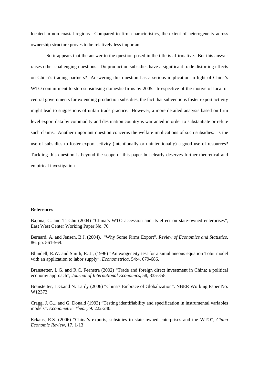located in non-coastal regions. Compared to firm characteristics, the extent of heterogeneity across ownership structure proves to be relatively less important.

So it appears that the answer to the question posed in the title is affirmative. But this answer raises other challenging questions: Do production subsidies have a significant trade distorting effects on China's trading partners? Answering this question has a serious implication in light of China's WTO commitment to stop subsidising domestic firms by 2005. Irrespective of the motive of local or central governments for extending production subsidies, the fact that subventions foster export activity might lead to suggestions of unfair trade practice. However, a more detailed analysis based on firm level export data by commodity and destination country is warranted in order to substantiate or refute such claims. Another important question concerns the welfare implications of such subsidies. Is the use of subsidies to foster export activity (intentionally or unintentionally) a good use of resources? Tackling this question is beyond the scope of this paper but clearly deserves further theoretical and empirical investigation.

#### **References**

Bajona, C. and T. Chu (2004) "China's WTO accession and its effect on state-owned enterprises", East West Center Working Paper No. 70

Bernard, A. and Jensen, B.J. (2004). "Why Some Firms Export", *Review of Economics and Statistics*, 86, pp. 561-569.

Blundell, R.W. and Smith, R. J., (1996) "An exogeneity test for a simultaneous equation Tobit model with an application to labor supply". *Econometrica*, 54:4, 679-686.

Branstetter, L.G. and R.C. Feenstra (2002) "Trade and foreign direct investment in China: a political economy approach", *Journal of International Economics*, 58, 335-358

Branstetter, L.G.and N. Lardy (2006) "China's Embrace of Globalization". NBER Working Paper No. W12373

Cragg, J. G.., and G. Donald (1993) "Testing identifiability and specification in instrumental variables models", *Econometric Theory* 9: 222-240.

Eckaus, R.S. (2006) "China's exports, subsidies to state owned enterprises and the WTO", *China Economic Review*, 17, 1-13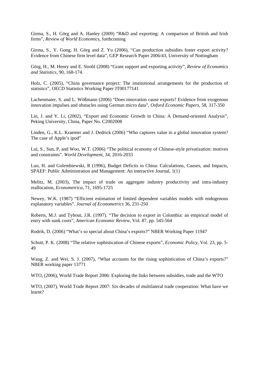Girma, S., H. Görg and A. Hanley (2009) "R&D and exporting: A comparison of British and Irish firms", *Review of World Economics*, forthcoming

Girma, S., Y. Gong, H. Görg and Z. Yu (2006), "Can production subsidies foster export activity? Evidence from Chinese firm level data", GEP Research Paper 2006/43, University of Nottingham

Görg, H., M. Henry and E. Strobl (2008) "Grant support and exporting activity", *Review of Economics and Statistics*, 90, 168-174.

Holz, C. (2005), "China governance project: The institutional arrangements for the production of statistics", OECD Statistics Working Paper JT00177141

Lachenmaier, S. and L. Wößmann (2006) "Does innovation cause exports? Evidence from exogenous innovation impulses and obstacles using German micro data", *Oxford Economic Papers*, 58, 317-350

Lin, J. and Y. Li, (2002), "Export and Economic Growth in China: A Demand-oriented Analysis", Peking University, China, Paper No. C2002008

Linden, G., K.L. Kraemer and J. Dedrick (2006) "Who captures value in a global innovation system? The case of Apple's ipod"

Lui, S., Sun, P, and Woo, W.T. (2006) "The political economy of Chinese-style privatization: motives and constraints". *World Development,* 34, 2016-2033

Luo, H. and Golembiewski, R (1996), Budget Deficits in China: Calculations, Causes, and Impacts, SPAEF: Public Administration and Management: An interactive Journal, 1(1)

Melitz, M. (2003), The impact of trade on aggregate industry productivity and intra-industry reallocation, *Econometrica*, 71, 1695-1725

Newey, W.K. (1987) "Efficient estimation of limited dependent variables models with endogenous explanatory variables". *Journal of Econometrics* 36, 231-250

Roberts, M.J. and Tybout, J.R. (1997). "The decision to export in Colombia: an empirical model of entry with sunk costs", *American Economic Review*, Vol. 87, pp. 545-564

Rodrik, D. (2006) "What's so special about China's exports?" NBER Working Paper 11947

Schott, P. K. (2008) "The relative sophistication of Chinese exports", *Economic Policy*, Vol. 23, pp. 5- 49

Wang, Z. and Wei, S. J. (2007), "What accounts for the rising sophistication of China's exports?" NBER working paper 13771

WTO, (2006), World Trade Report 2006: Exploring the links between subsidies, trade and the WTO

WTO, (2007), World Trade Report 2007: Six decades of multilateral trade cooperation: What have we learnt?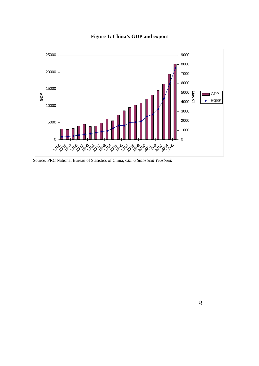

**Figure 1: China's GDP and export**

Source: PRC National Bureau of Statistics of China, *China Statistical Yearbook*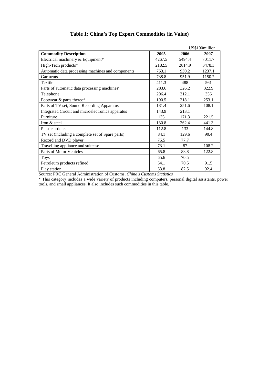|                                                   |        |        | US\$100million |
|---------------------------------------------------|--------|--------|----------------|
| <b>Commodity Description</b>                      | 2005   | 2006   | 2007           |
| Electrical machinery & Equipment*                 | 4267.5 | 5494.4 | 7011.7         |
| High-Tech products*                               | 2182.5 | 2814.9 | 3478.3         |
| Automatic data processing machines and components | 763.1  | 930.2  | 1237.1         |
| Garments                                          | 738.8  | 951.9  | 1150.7         |
| Textile                                           | 411.3  | 488    | 561            |
| Parts of automatic data processing machines'      | 283.6  | 326.2  | 322.9          |
| Telephone                                         | 206.4  | 312.1  | 356            |
| Footwear & parts thereof                          | 190.5  | 218.1  | 253.1          |
| Parts of TV set, Sound Recording Apparatus        | 181.4  | 251.6  | 108.1          |
| Integrated Circuit and microelectronics apparatus | 143.9  | 213.1  |                |
| Furniture                                         | 135    | 171.3  | 221.5          |
| Iron & steel                                      | 130.8  | 262.4  | 441.3          |
| <b>Plastic articles</b>                           | 112.8  | 133    | 144.8          |
| TV set (including a complete set of Spare parts)  | 84.1   | 129.6  | 90.4           |
| Record and DVD player                             | 76.5   | 77.7   |                |
| Travelling appliance and suitcase                 | 73.1   | 87     | 108.2          |
| Parts of Motor Vehicles                           | 65.8   | 88.8   | 122.8          |
| <b>Toys</b>                                       | 65.6   | 70.5   |                |
| Petroleum products refined                        | 64.1   | 70.5   | 91.5           |
| Play station                                      | 63.8   | 82.5   | 92.4           |

# **Table 1: China's Top Export Commodities (in Value)**

Source: PRC General Administration of Customs, *China's Customs Statistics*

\* This category includes a wide variety of products including computers, personal digital assistants, power tools, and small appliances. It also includes such commodities in this table.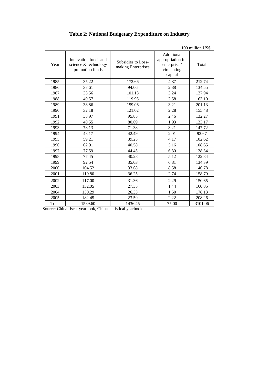|       |                                                                 |                                          |                                                                           | 100 million US\$ |
|-------|-----------------------------------------------------------------|------------------------------------------|---------------------------------------------------------------------------|------------------|
| Year  | Innovation funds and<br>science & technology<br>promotion funds | Subsidies to Loss-<br>making Enterprises | Additional<br>appropriation for<br>enterprises'<br>circulating<br>capital | Total            |
| 1985  | 35.22                                                           | 172.66                                   | 4.87                                                                      | 212.74           |
| 1986  | 37.61                                                           | 94.06                                    | 2.88                                                                      | 134.55           |
| 1987  | 33.56                                                           | 101.13                                   | 3.24                                                                      | 137.94           |
| 1988  | 40.57                                                           | 119.95                                   | 2.58                                                                      | 163.10           |
| 1989  | 38.86                                                           | 159.06                                   | 3.21                                                                      | 201.13           |
| 1990  | 32.18                                                           | 121.02                                   | 2.28                                                                      | 155.48           |
| 1991  | 33.97                                                           | 95.85                                    | 2.46                                                                      | 132.27           |
| 1992  | 40.55                                                           | 80.69                                    | 1.93                                                                      | 123.17           |
| 1993  | 73.13                                                           | 71.38                                    | 3.21                                                                      | 147.72           |
| 1994  | 48.17                                                           | 42.49                                    | 2.01                                                                      | 92.67            |
| 1995  | 59.21                                                           | 39.25                                    | 4.17                                                                      | 102.62           |
| 1996  | 62.91                                                           | 40.58                                    | 5.16                                                                      | 108.65           |
| 1997  | 77.59                                                           | 44.45                                    | 6.30                                                                      | 128.34           |
| 1998  | 77.45                                                           | 40.28                                    | 5.12                                                                      | 122.84           |
| 1999  | 92.54                                                           | 35.03                                    | 6.81                                                                      | 134.39           |
| 2000  | 104.52                                                          | 33.68                                    | 8.58                                                                      | 146.78           |
| 2001  | 119.80                                                          | 36.25                                    | 2.74                                                                      | 158.79           |
| 2002  | 117.00                                                          | 31.36                                    | 2.29                                                                      | 150.65           |
| 2003  | 132.05                                                          | 27.35                                    | 1.44                                                                      | 160.85           |
| 2004  | 150.29                                                          | 26.33                                    | 1.50                                                                      | 178.13           |
| 2005  | 182.45                                                          | 23.59                                    | 2.22                                                                      | 208.26           |
| Total | 1589.60                                                         | 1436.45                                  | 75.00                                                                     | 3101.06          |

# **Table 2: National Budgetary Expenditure on Industry**

Source: China fiscal yearbook, China statistical yearbook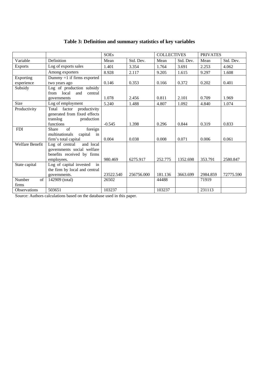# **Table 3: Definition and summary statistics of key variables**

|                 |                                 | <b>SOEs</b> |            | <b>COLLECTIVES</b> |           | <b>PRIVATES</b> |           |
|-----------------|---------------------------------|-------------|------------|--------------------|-----------|-----------------|-----------|
| Variable        | Definition                      | Mean        | Std. Dev.  | Mean               | Std. Dev. | Mean            | Std. Dev. |
| <b>Exports</b>  | Log of exports sales            | 1.401       | 3.354      | 1.764              | 3.691     | 2.253           | 4.062     |
|                 | Among exporters                 | 8.928       | 2.117      | 9.205              | 1.615     | 9.297           | 1.608     |
| Exporting       | Dummy $=1$ if firms exported    |             |            |                    |           |                 |           |
| experience      | two years ago                   | 0.146       | 0.353      | 0.166              | 0.372     | 0.202           | 0.401     |
| Subsidy         | Log of production subsidy       |             |            |                    |           |                 |           |
|                 | from local<br>and<br>central    |             |            |                    |           |                 |           |
|                 | governments                     | 1.078       | 2.456      | 0.811              | 2.101     | 0.709           | 1.969     |
| Size            | Log of employment               | 5.240       | 1.488      | 4.807              | 1.092     | 4.840           | 1.074     |
| Productivity    | factor<br>Total<br>productivity |             |            |                    |           |                 |           |
|                 | generated from fixed effects    |             |            |                    |           |                 |           |
|                 | translog<br>production          |             |            |                    |           |                 |           |
|                 | functions                       | $-0.545$    | 1.398      | 0.296              | 0.844     | 0.319           | 0.833     |
| <b>FDI</b>      | of<br>foreign<br><b>Share</b>   |             |            |                    |           |                 |           |
|                 | multinationals<br>capital in    |             |            |                    |           |                 |           |
|                 | firm's total capital            | 0.004       | 0.038      | 0.008              | 0.071     | 0.006           | 0.061     |
| Welfare Benefit | and local<br>Log of central     |             |            |                    |           |                 |           |
|                 | governments social welfare      |             |            |                    |           |                 |           |
|                 | benefits received by firms      |             |            |                    |           |                 |           |
|                 | employees.                      | 980.469     | 6275.917   | 252.775            | 1352.698  | 353.791         | 2580.847  |
| State capital   | Log of capital invested<br>in   |             |            |                    |           |                 |           |
|                 | the firm by local and central   |             |            |                    |           |                 |           |
|                 | governments.                    | 23522.540   | 256756.000 | 181.136            | 3663.699  | 2984.859        | 72775.590 |
| Number<br>of    | 142909 (total)                  | 26502       |            | 44488              |           | 71919           |           |
| firms           |                                 |             |            |                    |           |                 |           |
| Observations    | 503651                          | 103237      |            | 103237             |           | 231113          |           |

Source: Authors calculations based on the database used in this paper.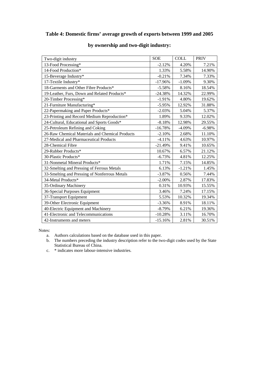# **Table 4: Domestic firms' average growth of exports between 1999 and 2005**

| Two-digit industry                              | <b>SOE</b> | <b>COLL</b> | <b>PRIV</b> |
|-------------------------------------------------|------------|-------------|-------------|
| 13-Food Processing*                             | $-2.12%$   | 4.20%       | 7.21%       |
| 14-Food Production*                             | 1.33%      | 5.58%       | 14.90%      |
| 15-Beverage Industry*                           | $-0.21%$   | 7.34%       | 7.33%       |
| 17-Textile Industry*                            | $-17.96%$  | $-1.09%$    | 9.30%       |
| 18-Garments and Other Fibre Products*           | $-5.58%$   | 8.16%       | 18.54%      |
| 19-Leather, Furs, Down and Related Products*    | $-24.38%$  | 14.32%      | 22.99%      |
| 20-Timber Processing*                           | $-1.91%$   | 4.80%       | 19.62%      |
| 21-Furniture Manufacturing*                     | $-5.95%$   | 12.92%      | 31.88%      |
| 22-Papermaking and Paper Products*              | $-2.03%$   | 5.04%       | 5.37%       |
| 23-Printing and Record Medium Reproduction*     | 1.89%      | 9.33%       | 12.02%      |
| 24-Cultural, Educational and Sports Goods*      | $-8.18%$   | 12.98%      | 29.55%      |
| 25-Petroleum Refining and Coking                | $-16.78%$  | $-4.09%$    | $-6.98%$    |
| 26-Raw Chemical Materials and Chemical Products | $-2.10%$   | 2.68%       | 11.10%      |
| 27-Medical and Pharmaceutical Products          | $-4.11%$   | 4.63%       | 10.97%      |
| 28-Chemical Fibre                               | $-21.49%$  | 9.41%       | 10.65%      |
| 29-Rubber Products*                             | 10.67%     | 6.57%       | 21.12%      |
| 30-Plastic Products*                            | $-6.73%$   | 4.81%       | 12.25%      |
| 31-Nonmetal Mineral Products*                   | 1.71%      | 7.15%       | 14.85%      |
| 32-Smelting and Pressing of Ferrous Metals      | 6.13%      | $-1.21%$    | 1.45%       |
| 33-Smelting and Pressing of Nonferrous Metals   | $-3.87%$   | 0.56%       | 7.44%       |
| 34-Metal Products*                              | $-2.00\%$  | 2.87%       | 17.83%      |
| 35-Ordinary Machinery                           | 0.31%      | 10.93%      | 15.55%      |
| 36-Special Purposes Equipment                   | 3.46%      | 7.24%       | 17.15%      |
| 37-Transport Equipment                          | 5.53%      | 10.32%      | 19.34%      |
| 39-Other Electronic Equipment                   | $-3.36%$   | 8.91%       | 18.11%      |
| 40-Electric Equipment and Machinery             | $-8.79%$   | 6.21%       | 19.36%      |
| 41-Electronic and Telecommunications            | $-10.28%$  | 3.11%       | 16.70%      |
| 42-Instruments and meters                       | $-15.16%$  | 2.81%       | 30.51%      |

# **by ownership and two-digit industry:**

Notes:

- a. Authors calculations based on the database used in this paper.
- b. The numbers preceding the industry description refer to the two-digit codes used by the State Statistical Bureau of China.
- c. \* indicates more labour-intensive industries.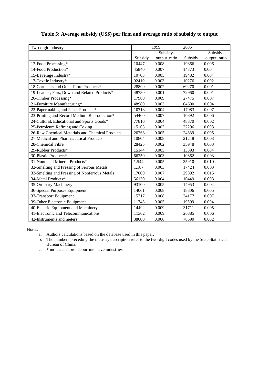| Two-digit industry                              | 1999    |              | 2005    |              |
|-------------------------------------------------|---------|--------------|---------|--------------|
|                                                 |         | Subsidy-     |         | Subsidy-     |
|                                                 | Subsidy | output ratio | Subsidy | output ratio |
| 13-Food Processing*                             | 10447   | 0.008        | 19366   | 0.006        |
| 14-Food Production*                             | 45840   | 0.007        | 14873   | 0.004        |
| 15-Beverage Industry*                           | 10703   | 0.005        | 19482   | 0.004        |
| 17-Textile Industry*                            | 92410   | 0.003        | 10276   | 0.002        |
| 18-Garments and Other Fibre Products*           | 28800   | 0.002        | 69270   | 0.001        |
| 19-Leather, Furs, Down and Related Products*    | 48780   | 0.001        | 72960   | 0.001        |
| 20-Timber Processing*                           | 17900   | 0.009        | 27475   | 0.007        |
| 21-Furniture Manufacturing*                     | 48980   | 0.003        | 64600   | 0.004        |
| 22-Papermaking and Paper Products*              | 10713   | 0.004        | 17083   | 0.007        |
| 23-Printing and Record Medium Reproduction*     | 54460   | 0.007        | 10892   | 0.006        |
| 24-Cultural, Educational and Sports Goods*      | 77810   | 0.004        | 48370   | 0.002        |
| 25-Petroleum Refining and Coking                | 15165   | 0.002        | 22296   | 0.003        |
| 26-Raw Chemical Materials and Chemical Products | 20268   | 0.005        | 24339   | 0.005        |
| 27-Medical and Pharmaceutical Products          | 10804   | 0.008        | 21218   | 0.003        |
| 28-Chemical Fibre                               | 28425   | 0.002        | 35948   | 0.003        |
| 29-Rubber Products*                             | 15144   | 0.005        | 13393   | 0.004        |
| 30-Plastic Products*                            | 66250   | 0.003        | 10862   | 0.003        |
| 31-Nonmetal Mineral Products*                   | 1.544   | 0.005        | 35910   | 0.010        |
| 32-Smelting and Pressing of Ferrous Metals      | 1.187   | 0.003        | 17424   | 0.003        |
| 33-Smelting and Pressing of Nonferrous Metals   | 17000   | 0.007        | 29892   | 0.015        |
| 34-Metal Products*                              | 56130   | 0.004        | 10449   | 0.003        |
| 35-Ordinary Machinery                           | 93100   | 0.005        | 14953   | 0.004        |
| 36-Special Purposes Equipment                   | 14061   | 0.008        | 18806   | 0.005        |
| 37-Transport Equipment                          | 15717   | 0.008        | 24177   | 0.007        |
| 39-Other Electronic Equipment                   | 11748   | 0.005        | 19599   | 0.004        |
| 40-Electric Equipment and Machinery             | 14492   | 0.009        | 31711   | 0.005        |
| 41-Electronic and Telecommunications            | 11302   | 0.009        | 26885   | 0.006        |
| 42-Instruments and meters                       | 38600   | 0.006        | 78590   | 0.002        |

# **Table 5: Average subsidy (US\$) per firm and average ratio of subsidy to output**

Notes:

- a. Authors calculations based on the database used in this paper.
- b. The numbers preceding the industry description refer to the two-digit codes used by the State Statistical Bureau of China.
- c. \* indicates more labour-intensive industries.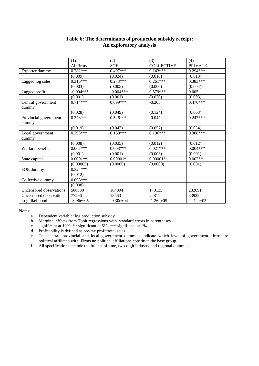|                                | (1)         | (2)           | (3)               | (4)            |
|--------------------------------|-------------|---------------|-------------------|----------------|
|                                | All firms   | <b>SOE</b>    | <b>COLLECTIVE</b> | <b>PRIVATE</b> |
| Exporter dummy                 | $0.282***$  | $0.497***$    | $0.143***$        | $0.294***$     |
|                                | (0.009)     | (0.024)       | (0.016)           | (0.013)        |
| Lagged log sales               | $0.316***$  | $0.273***$    | $0.261***$        | $0.383***$     |
|                                | (0.003)     | (0.005)       | (0.006)           | (0.004)        |
| Lagged profit                  | $-0.004***$ | $-0.004***$   | $0.579***$        | 0.005          |
|                                | (0.001)     | (0.001)       | (0.030)           | (0.003)        |
| Central government<br>dummy    | $0.714***$  | $0.699***$    | $-0.205$          | $0.470***$     |
|                                | (0.028)     | (0.049)       | (0.124)           | (0.063)        |
| Provincial government<br>dummy | $0.373***$  | $0.526***$    | $-0.047$          | $0.247***$     |
|                                | (0.019)     | (0.043)       | (0.057)           | (0.034)        |
| Local government<br>dummy      | $0.298***$  | $0.168***$    | $0.196***$        | $0.388***$     |
|                                | (0.008)     | (0.035)       | (0.012)           | (0.012)        |
| Welfare benefits               | $0.007***$  | $0.008***$    | $0.021***$        | $0.004***$     |
|                                | (0.001)     | (0.001)       | (0.003)           | (0.001)        |
| State capital                  | $0.0001**$  | $0.00001*$    | $0.00001*$        | $0.002**$      |
|                                | (0.00005)   | (0.0000)      | (0.0000)          | (0.001)        |
| SOE dummy                      | $0.324***$  |               |                   |                |
|                                | (0.012)     |               |                   |                |
| Collective dummy               | $0.095***$  |               |                   |                |
|                                | (0.008)     |               |                   |                |
| Uncensored observations        | 506830      | 104004        | 170135            | 232691         |
| Uncensored observations        | 77296       | 18563         | 24811             | 33922          |
| Log likelihood                 | $-3.96e+05$ | $-9.30e + 04$ | $-1.26e+0.5$      | $-1.72e+05$    |

# **Table 6: The determinants of production subsidy receipt: An exploratory analysis**

Notes:

a. Dependent variable: log production subsidy

b. Marginal effects from Tobit regressions with standard errors in parentheses

c. significant at 10%; \*\* significant at 5%; \*\*\* significant at 1%

d. Profitability is defined as pre-tax profit/total sales

e. The central, provincial and local government dummies indicate which level of government, firms are political affiliated with. Firms no political affiliations constitute the base group.

f. All specifications include the full set of time, two-digit industry and regional dummies.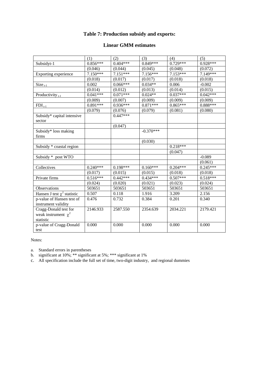# **Table 7: Production subsidy and exports:**

# **Linear GMM estimates**

|                                                                | (1)        | (2)        | (3)         | (4)        | (5)        |
|----------------------------------------------------------------|------------|------------|-------------|------------|------------|
| Subsidyt-1                                                     | $0.856***$ | $0.404***$ | $0.849***$  | $0.729***$ | 0.928***   |
|                                                                | (0.046)    | (0.044)    | (0.045)     | (0.048)    | (0.072)    |
| Exporting experience                                           | $7.150***$ | $7.151***$ | 7.156***    | $7.153***$ | 7.149***   |
|                                                                | (0.018)    | (0.017)    | (0.017)     | (0.018)    | (0.018)    |
| $Size_{t-1}$                                                   | 0.002      | $0.066***$ | $0.034**$   | 0.006      | $-0.002$   |
|                                                                | (0.014)    | (0.012)    | (0.013)     | (0.014)    | (0.015)    |
| Productivity $_{t-1}$                                          | $0.041***$ | $0.071***$ | $0.024**$   | $0.037***$ | $0.042***$ |
|                                                                | (0.009)    | (0.007)    | (0.009)     | (0.009)    | (0.009)    |
| $FDI_{t-1}$                                                    | $0.891***$ | $0.936***$ | $0.871***$  | $0.865***$ | $0.888***$ |
|                                                                | (0.079)    | (0.076)    | (0.079)     | (0.081)    | (0.080)    |
| Subsidy* capital intensive                                     |            | $0.447***$ |             |            |            |
| sector                                                         |            |            |             |            |            |
|                                                                |            | (0.047)    |             |            |            |
| Subsidy* loss making<br>firms                                  |            |            | $-0.370***$ |            |            |
|                                                                |            |            | (0.030)     |            |            |
| Subsidy * coastal region                                       |            |            |             | $0.218***$ |            |
|                                                                |            |            |             | (0.047)    |            |
| Subsidy * post WTO                                             |            |            |             |            | $-0.089$   |
|                                                                |            |            |             |            | (0.061)    |
| Collectives                                                    | $0.240***$ | $0.198***$ | $0.160***$  | $0.204***$ | $0.245***$ |
|                                                                | (0.017)    | (0.015)    | (0.015)     | (0.018)    | (0.018)    |
| Private firms                                                  | $0.516***$ | $0.442***$ | $0.434***$  | $0.507***$ | $0.518***$ |
|                                                                | (0.024)    | (0.020)    | (0.021)     | (0.023)    | (0.024)    |
| Observations                                                   | 503651     | 503651     | 503651      | 503651     | 503651     |
| Hansen J test $\chi^2$ statistic                               | 0.507      | 0.118      | 1.916       | 3.209      | 2.156      |
| p-value of Hansen test of<br>instrument validity               | 0.476      | 0.732      | 0.384       | 0.201      | 0.340      |
| Cragg-Donald test for<br>weak instrument $\chi^2$<br>statistic | 2146.933   | 2587.550   | 2354.639    | 2034.221   | 2179.421   |
| p-value of Cragg-Donald<br>test                                | 0.000      | 0.000      | 0.000       | 0.000      | 0.000      |

Notes:

a. Standard errors in parentheses

b. significant at 10%; \*\* significant at 5%; \*\*\* significant at 1%

c. All specification include the full set of time, two-digit industry, and regional dummies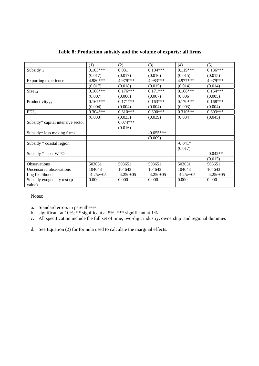|                                       | (1)         | (2)         | (3)         | (4)         | (5)         |
|---------------------------------------|-------------|-------------|-------------|-------------|-------------|
| Subsidy $_{t-1}$                      | $0.103***$  | 0.031       | $0.104***$  | $0.119***$  | $0.136***$  |
|                                       | (0.017)     | (0.017)     | (0.016)     | (0.015)     | (0.015)     |
| Exporting experience                  | 4.980***    | 4.979***    | 4.983***    | 4.977***    | 4.979***    |
|                                       | (0.017)     | (0.018)     | (0.015)     | (0.014)     | (0.014)     |
| $Size_{t-1}$                          | $0.166***$  | $0.176***$  | $0.171***$  | $0.168***$  | $0.164***$  |
|                                       | (0.007)     | (0.006)     | (0.007)     | (0.006)     | (0.005)     |
| Productivity $_{t-1}$                 | $0.167***$  | $0.171***$  | $0.163***$  | $0.170***$  | $0.168***$  |
|                                       | (0.004)     | (0.004)     | (0.004)     | (0.003)     | (0.004)     |
| $FDI_{t-1}$                           | $0.304***$  | $0.310***$  | $0.300***$  | $0.310***$  | $0.303***$  |
|                                       | (0.033)     | (0.033)     | (0.039)     | (0.034)     | (0.045)     |
| Subsidy* capital intensive sector     |             | $0.074***$  |             |             |             |
|                                       |             | (0.016)     |             |             |             |
| Subsidy* loss making firms            |             |             | $-0.055***$ |             |             |
|                                       |             |             | (0.009)     |             |             |
| Subsidy * coastal region              |             |             |             | $-0.041*$   |             |
|                                       |             |             |             | (0.017)     |             |
| Subsidy * post WTO                    |             |             |             |             | $-0.042**$  |
|                                       |             |             |             |             | (0.013)     |
| Observations                          | 503651      | 503651      | 503651      | 503651      | 503651      |
| Uncensored observations               | 104643      | 104643      | 104643      | 104643      | 104643      |
| Log likelihood                        | $-4.25e+05$ | $-4.25e+05$ | $-4.25e+05$ | $-4.25e+05$ | $-4.25e+05$ |
| Subsidy exogeneity test (p-<br>value) | 0.000       | 0.000       | 0.000       | 0.000       | 0.000       |

# **Table 8: Production subsidy and the volume of exports: all firms**

Notes:

a. Standard errors in parentheses

- b. significant at 10%; \*\* significant at 5%; \*\*\* significant at 1%
- c. All specification include the full set of time, two-digit industry, ownership and regional dummies
- d. See Equation (2) for formula used to calculate the marginal effects.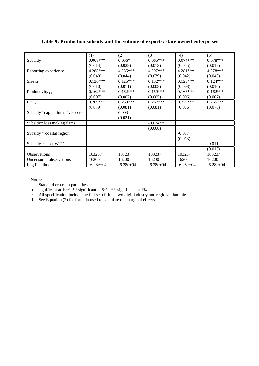|                                   | (1)         | (2)         | (3)         | (4)         | (5)         |
|-----------------------------------|-------------|-------------|-------------|-------------|-------------|
| $Subsidy_{t-1}$                   | $0.068***$  | $0.066*$    | $0.065***$  | $0.074***$  | $0.078***$  |
|                                   | (0.014)     | (0.028)     | (0.013)     | (0.015)     | (0.018)     |
| Exporting experience              | 4.283***    | $4.285***$  | 4.297***    | $4.281***$  | $4.278***$  |
|                                   | (0.040)     | (0.044)     | (0.039)     | (0.042)     | (0.046)     |
| $Size_{t-1}$                      | $0.126***$  | $0.125***$  | $0.132***$  | $0.125***$  | $0.124***$  |
|                                   | (0.010)     | (0.011)     | (0.008)     | (0.008)     | (0.010)     |
| Productivity $_{t-1}$             | $0.162***$  | $0.162***$  | $0.159***$  | $0.163***$  | $0.162***$  |
|                                   | (0.007)     | (0.007)     | (0.005)     | (0.006)     | (0.007)     |
| $FDI_{t-1}$                       | $0.269***$  | $0.269***$  | $0.267***$  | $0.279***$  | $0.265***$  |
|                                   | (0.079)     | (0.081)     | (0.081)     | (0.076)     | (0.078)     |
| Subsidy* capital intensive sector |             | 0.003       |             |             |             |
|                                   |             | (0.021)     |             |             |             |
| Subsidy* loss making firms        |             |             | $-0.024**$  |             |             |
|                                   |             |             | (0.008)     |             |             |
| Subsidy * coastal region          |             |             |             | $-0.017$    |             |
|                                   |             |             |             | (0.013)     |             |
| Subsidy * post WTO                |             |             |             |             | $-0.011$    |
|                                   |             |             |             |             | (0.013)     |
| <i><b>Observations</b></i>        | 103237      | 103237      | 103237      | 103237      | 103237      |
| Uncensored observations           | 16200       | 16200       | 16200       | 16200       | 16200       |
| Log likelihood                    | $-6.28e+04$ | $-6.28e+04$ | $-6.28e+04$ | $-6.28e+04$ | $-6.28e+04$ |

# **Table 9: Production subsidy and the volume of exports: state-owned enterprises**

Notes:

- a. Standard errors in parentheses
- b. significant at 10%; \*\* significant at 5%; \*\*\* significant at 1%
- c. All specification include the full set of time, two-digit industry and regional dummies
- d. See Equation (2) for formula used to calculate the marginal effects.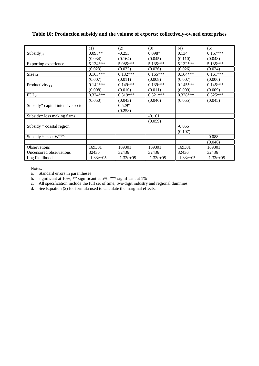# **Table 10: Production subsidy and the volume of exports: collectively-owned enterprises**

|                                   | (1)          | (2)          | (3)          | (4)          | (5)          |
|-----------------------------------|--------------|--------------|--------------|--------------|--------------|
| $Subsidy_{t-1}$                   | $0.095**$    | $-0.255$     | $0.098*$     | 0.134        | $0.157***$   |
|                                   | (0.034)      | (0.164)      | (0.045)      | (0.110)      | (0.048)      |
| Exporting experience              | $5.134***$   | $5.085***$   | $5.135***$   | $5.132***$   | 5.135***     |
|                                   | (0.023)      | (0.032)      | (0.026)      | (0.026)      | (0.024)      |
| $Size_{t-1}$                      | $0.163***$   | $0.182***$   | $0.165***$   | $0.164***$   | $0.161***$   |
|                                   | (0.007)      | (0.011)      | (0.008)      | (0.007)      | (0.006)      |
| Productivity $_{t-1}$             | $0.142***$   | $0.149***$   | $0.139***$   | $0.145***$   | $0.145***$   |
|                                   | (0.008)      | (0.010)      | (0.011)      | (0.009)      | (0.009)      |
| $FDI_{t-1}$                       | $0.324***$   | $0.319***$   | $0.321***$   | $0.328***$   | $0.325***$   |
|                                   | (0.050)      | (0.043)      | (0.046)      | (0.055)      | (0.045)      |
| Subsidy* capital intensive sector |              | $0.529*$     |              |              |              |
|                                   |              | (0.258)      |              |              |              |
| Subsidy* loss making firms        |              |              | $-0.101$     |              |              |
|                                   |              |              | (0.059)      |              |              |
| Subsidy * coastal region          |              |              |              | $-0.055$     |              |
|                                   |              |              |              | (0.107)      |              |
| Subsidy * post WTO                |              |              |              |              | $-0.088$     |
|                                   |              |              |              |              | (0.046)      |
| <b>Observations</b>               | 169301       | 169301       | 169301       | 169301       | 169301       |
| Uncensored observations           | 32436        | 32436        | 32436        | 32436        | 32436        |
| Log likelihood                    | $-1.33e+0.5$ | $-1.33e+0.5$ | $-1.33e+0.5$ | $-1.33e+0.5$ | $-1.33e+0.5$ |

Notes:

a. Standard errors in parentheses

b. significant at 10%; \*\* significant at 5%; \*\*\* significant at 1%

c. All specification include the full set of time, two-digit industry and regional dummies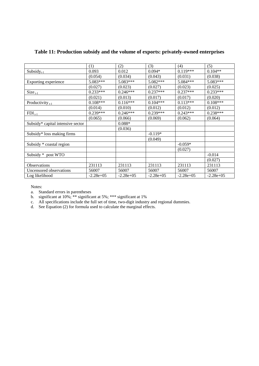|                                   | (1)          | (2)          | (3)          | (4)          | (5)          |
|-----------------------------------|--------------|--------------|--------------|--------------|--------------|
| $Subsidy_{t-1}$                   | 0.093        | 0.012        | $0.094*$     | $0.119***$   | $0.104**$    |
|                                   | (0.054)      | (0.034)      | (0.043)      | (0.031)      | (0.038)      |
| Exporting experience              | $5.083***$   | $5.083***$   | $5.082***$   | $5.084***$   | 5.083***     |
|                                   | (0.027)      | (0.023)      | (0.027)      | (0.023)      | (0.025)      |
| $Size_{t-1}$                      | $0.233***$   | $0.246***$   | $0.237***$   | $0.237***$   | $0.233***$   |
|                                   | (0.021)      | (0.013)      | (0.017)      | (0.017)      | (0.020)      |
| Productivity $_{t-1}$             | $0.108***$   | $0.116***$   | $0.104***$   | $0.113***$   | $0.108***$   |
|                                   | (0.014)      | (0.010)      | (0.012)      | (0.012)      | (0.012)      |
| $FDI_{t-1}$                       | $0.239***$   | $0.246***$   | $0.239***$   | $0.243***$   | $0.238***$   |
|                                   | (0.065)      | (0.066)      | (0.069)      | (0.062)      | (0.064)      |
| Subsidy* capital intensive sector |              | $0.088*$     |              |              |              |
|                                   |              | (0.036)      |              |              |              |
| Subsidy* loss making firms        |              |              | $-0.119*$    |              |              |
|                                   |              |              | (0.049)      |              |              |
| Subsidy * coastal region          |              |              |              | $-0.059*$    |              |
|                                   |              |              |              | (0.027)      |              |
| Subsidy * post WTO                |              |              |              |              | $-0.014$     |
|                                   |              |              |              |              | (0.027)      |
| <b>Observations</b>               | 231113       | 231113       | 231113       | 231113       | 231113       |
| Uncensored observations           | 56007        | 56007        | 56007        | 56007        | 56007        |
| Log likelihood                    | $-2.28e+0.5$ | $-2.28e+0.5$ | $-2.28e+0.5$ | $-2.28e+0.5$ | $-2.28e+0.5$ |

# **Table 11: Production subsidy and the volume of exports: privately-owned enterprises**

Notes:

a. Standard errors in parentheses

b. significant at 10%; \*\* significant at 5%; \*\*\* significant at 1%

c. All specifications include the full set of time, two-digit industry and regional dummies.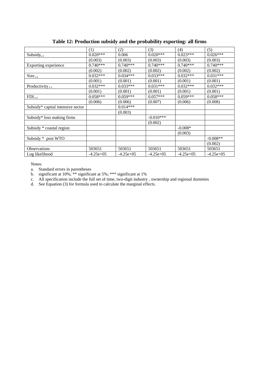|                                   | (1)         | (2)         | (3)         | (4)         | (5)         |
|-----------------------------------|-------------|-------------|-------------|-------------|-------------|
| Subsidy $_{t-1}$                  | $0.020***$  | 0.006       | $0.020***$  | $0.023***$  | $0.026***$  |
|                                   | (0.003)     | (0.003)     | (0.003)     | (0.003)     | (0.003)     |
| Exporting experience              | $0.740***$  | $0.740***$  | $0.740***$  | $0.740***$  | $0.740***$  |
|                                   | (0.002)     | (0.002)     | (0.002)     | (0.002)     | (0.002)     |
| $Size_{t-1}$                      | $0.032***$  | $0.034***$  | $0.033***$  | $0.032***$  | $0.031***$  |
|                                   | (0.001)     | (0.001)     | (0.001)     | (0.001)     | (0.001)     |
| Productivity $_{t-1}$             | $0.032***$  | $0.033***$  | $0.031***$  | $0.032***$  | $0.032***$  |
|                                   | (0.001)     | (0.001)     | (0.001)     | (0.001)     | (0.001)     |
| $FDI_{t-1}$                       | $0.058***$  | $0.059***$  | $0.057***$  | $0.059***$  | $0.058***$  |
|                                   | (0.006)     | (0.006)     | (0.007)     | (0.006)     | (0.008)     |
| Subsidy* capital intensive sector |             | $0.014***$  |             |             |             |
|                                   |             | (0.003)     |             |             |             |
| Subsidy* loss making firms        |             |             | $-0.010***$ |             |             |
|                                   |             |             | (0.002)     |             |             |
| Subsidy * coastal region          |             |             |             | $-0.008*$   |             |
|                                   |             |             |             | (0.003)     |             |
| Subsidy * post WTO                |             |             |             |             | $-0.008**$  |
|                                   |             |             |             |             | (0.002)     |
| <b>Observations</b>               | 503651      | 503651      | 503651      | 503651      | 503651      |
| Log likelihood                    | $-4.25e+05$ | $-4.25e+05$ | $-4.25e+05$ | $-4.25e+05$ | $-4.25e+05$ |

# **Table 12: Production subsidy and the probability exporting: all firms**

Notes:

a. Standard errors in parentheses

b. significant at 10%; \*\* significant at 5%; \*\*\* significant at 1%

c. All specification include the full set of time, two-digit industry , ownership and regional dummies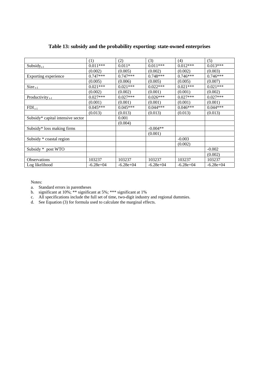|                                   | (1)         | (2)         | (3)         | (4)         | (5)         |
|-----------------------------------|-------------|-------------|-------------|-------------|-------------|
| $Subsidy_{t-1}$                   | $0.011***$  | $0.011*$    | $0.011***$  | $0.012***$  | $0.013***$  |
|                                   | (0.002)     | (0.005)     | (0.002)     | (0.002)     | (0.003)     |
| Exporting experience              | $0.747***$  | $0.747***$  | $0.748***$  | $0.746***$  | $0.746***$  |
|                                   | (0.005)     | (0.006)     | (0.005)     | (0.005)     | (0.007)     |
| $Size_{t-1}$                      | $0.021***$  | $0.021***$  | $0.022***$  | $0.021***$  | $0.021***$  |
|                                   | (0.002)     | (0.002)     | (0.001)     | (0.001)     | (0.002)     |
| Productivity $_{t-1}$             | $0.027***$  | $0.027***$  | $0.026***$  | $0.027***$  | $0.027***$  |
|                                   | (0.001)     | (0.001)     | (0.001)     | (0.001)     | (0.001)     |
| $FDI_{t-1}$                       | $0.045***$  | $0.045***$  | $0.044***$  | $0.046***$  | $0.044***$  |
|                                   | (0.013)     | (0.013)     | (0.013)     | (0.013)     | (0.013)     |
| Subsidy* capital intensive sector |             | 0.001       |             |             |             |
|                                   |             | (0.004)     |             |             |             |
| Subsidy* loss making firms        |             |             | $-0.004**$  |             |             |
|                                   |             |             | (0.001)     |             |             |
| Subsidy * coastal region          |             |             |             | $-0.003$    |             |
|                                   |             |             |             | (0.002)     |             |
| Subsidy * post WTO                |             |             |             |             | $-0.002$    |
|                                   |             |             |             |             | (0.002)     |
| Observations                      | 103237      | 103237      | 103237      | 103237      | 103237      |
| Log likelihood                    | $-6.28e+04$ | $-6.28e+04$ | $-6.28e+04$ | $-6.28e+04$ | $-6.28e+04$ |

# **Table 13: subsidy and the probability exporting: state-owned enterprises**

Notes:

a. Standard errors in parentheses

b. significant at 10%; \*\* significant at 5%; \*\*\* significant at 1%

c. All specifications include the full set of time, two-digit industry and regional dummies.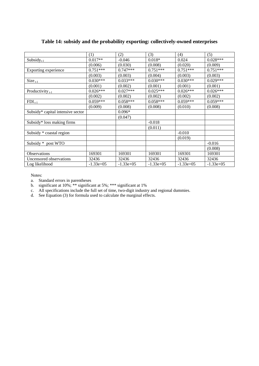|                                   | (1)         | (2)          | (3)          | (4)          | (5)          |
|-----------------------------------|-------------|--------------|--------------|--------------|--------------|
| $Subsidy_{t-1}$                   | $0.017**$   | $-0.046$     | $0.018*$     | 0.024        | $0.028***$   |
|                                   | (0.006)     | (0.030)      | (0.008)      | (0.020)      | (0.009)      |
| Exporting experience              | $0.751***$  | $0.747***$   | $0.751***$   | $0.751***$   | $0.751***$   |
|                                   | (0.003)     | (0.003)      | (0.004)      | (0.003)      | (0.003)      |
| $Size_{t-1}$                      | $0.030***$  | $0.033***$   | $0.030***$   | $0.030***$   | $0.029***$   |
|                                   | (0.001)     | (0.002)      | (0.001)      | (0.001)      | (0.001)      |
| Productivity $_{t-1}$             | $0.026***$  | $0.027***$   | $0.025***$   | $0.026***$   | $0.026***$   |
|                                   | (0.002)     | (0.002)      | (0.002)      | (0.002)      | (0.002)      |
| $FDI_{t-1}$                       | $0.059***$  | $0.058***$   | $0.058***$   | $0.059***$   | $0.059***$   |
|                                   | (0.009)     | (0.008)      | (0.008)      | (0.010)      | (0.008)      |
| Subsidy* capital intensive sector |             | $0.096*$     |              |              |              |
|                                   |             | (0.047)      |              |              |              |
| Subsidy* loss making firms        |             |              | $-0.018$     |              |              |
|                                   |             |              | (0.011)      |              |              |
| Subsidy * coastal region          |             |              |              | $-0.010$     |              |
|                                   |             |              |              | (0.019)      |              |
| Subsidy * post WTO                |             |              |              |              | $-0.016$     |
|                                   |             |              |              |              | (0.008)      |
| Observations                      | 169301      | 169301       | 169301       | 169301       | 169301       |
| Uncensored observations           | 32436       | 32436        | 32436        | 32436        | 32436        |
| Log likelihood                    | $-1.33e+05$ | $-1.33e+0.5$ | $-1.33e+0.5$ | $-1.33e+0.5$ | $-1.33e+0.5$ |

# **Table 14: subsidy and the probability exporting: collectively-owned enterprises**

Notes:

a. Standard errors in parentheses

b. significant at 10%; \*\* significant at 5%; \*\*\* significant at 1%

c. All specifications include the full set of time, two-digit industry and regional dummies.